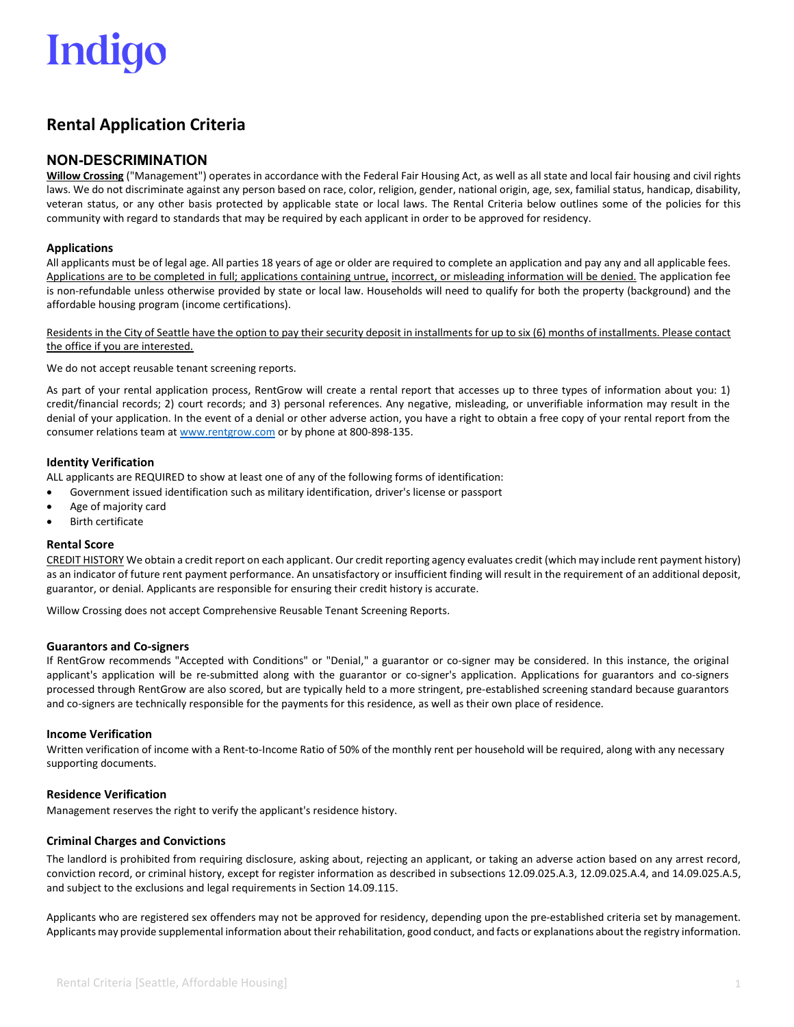## Indigo

### **Rental Application Criteria**

### **NON-DESCRIMINATION**

**Willow Crossing** ("Management") operates in accordance with the Federal Fair Housing Act, as well as all state and local fair housing and civil rights laws. We do not discriminate against any person based on race, color, religion, gender, national origin, age, sex, familial status, handicap, disability, veteran status, or any other basis protected by applicable state or local laws. The Rental Criteria below outlines some of the policies for this community with regard to standards that may be required by each applicant in order to be approved for residency.

#### **Applications**

All applicants must be of legal age. All parties 18 years of age or older are required to complete an application and pay any and all applicable fees. Applications are to be completed in full; applications containing untrue, incorrect, or misleading information will be denied. The application fee is non-refundable unless otherwise provided by state or local law. Households will need to qualify for both the property (background) and the affordable housing program (income certifications).

Residents in the City of Seattle have the option to pay their security deposit in installments for up to six (6) months of installments. Please contact the office if you are interested.

We do not accept reusable tenant screening reports.

As part of your rental application process, RentGrow will create a rental report that accesses up to three types of information about you: 1) credit/financial records; 2) court records; and 3) personal references. Any negative, misleading, or unverifiable information may result in the denial of your application. In the event of a denial or other adverse action, you have a right to obtain a free copy of your rental report from the consumer relations team at [www.rentgrow.com](http://www.rentgrow.com/) or by phone at 800-898-135.

#### **Identity Verification**

ALL applicants are REQUIRED to show at least one of any of the following forms of identification:

- Government issued identification such as military identification, driver's license or passport
- Age of majority card
- **Birth certificate**

#### **Rental Score**

CREDIT HISTORY We obtain a credit report on each applicant. Our credit reporting agency evaluates credit (which may include rent payment history) as an indicator of future rent payment performance. An unsatisfactory or insufficient finding will result in the requirement of an additional deposit, guarantor, or denial. Applicants are responsible for ensuring their credit history is accurate.

Willow Crossing does not accept Comprehensive Reusable Tenant Screening Reports.

#### **Guarantors and Co-signers**

If RentGrow recommends "Accepted with Conditions" or "Denial," a guarantor or co-signer may be considered. In this instance, the original applicant's application will be re-submitted along with the guarantor or co-signer's application. Applications for guarantors and co-signers processed through RentGrow are also scored, but are typically held to a more stringent, pre-established screening standard because guarantors and co-signers are technically responsible for the payments for this residence, as well as their own place of residence.

#### **Income Verification**

Written verification of income with a Rent-to-Income Ratio of 50% of the monthly rent per household will be required, along with any necessary supporting documents.

#### **Residence Verification**

Management reserves the right to verify the applicant's residence history.

#### **Criminal Charges and Convictions**

The landlord is prohibited from requiring disclosure, asking about, rejecting an applicant, or taking an adverse action based on any arrest record, conviction record, or criminal history, except for register information as described in subsections 12.09.025.A.3, 12.09.025.A.4, and 14.09.025.A.5, and subject to the exclusions and legal requirements in Section 14.09.115.

Applicants who are registered sex offenders may not be approved for residency, depending upon the pre-established criteria set by management. Applicants may provide supplemental information about their rehabilitation, good conduct, and facts or explanations about the registry information.